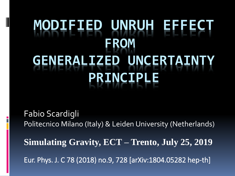# **MODIFIED UNRUH EFFECT FROM GENERALIZED UNCERTAINT PRINCIPL**

Fabio Scardigli Politecnico Milano (Italy) & Leiden University (Netherlands)

**Simulating Gravity, ECT – Trento, July 25, 2019** Eur. Phys. J. C 78 (2018) no.9, 728 [arXiv:1804.05282 hep-th]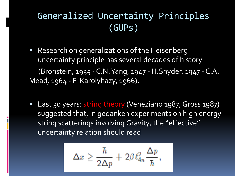# Generalized Uncertainty Principles (GUPs)

- **Research on generalizations of the Heisenberg** uncertainty principle has several decades of history (Bronstein, 1935 - C.N. Yang, 1947 - H.Snyder, 1947 - C.A. Mead, 1964 - F. Karolyhazy, 1966).
- Last 30 years: string theory (Veneziano 1987, Gross 1987) suggested that, in gedanken experiments on high energy string scatterings involving Gravity, the "effective" uncertainty relation should read

$$
\Delta x \geq \frac{\hbar}{2\Delta p} + 2\beta \, \ell_{4n}^2 \, \frac{\Delta p}{\hbar},
$$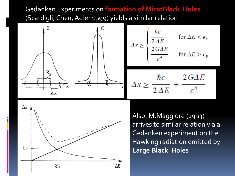Gedanken Experiments on **formation of MicroBlack Holes**  (Scardigli, Chen, Adler 1999) yields a similar relation





Also: M.Maggiore (1993) arrives to similar relation via a Gedanken experiment on the Hawking radiation emitted by **Large Black Holes**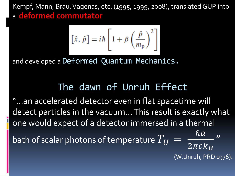Kempf, Mann, Brau, Vagenas, etc. (1995, 1999, 2008), translated GUP into a **deformed commutator**

$$
\left[\hat{x},\,\hat{p}\right]=i\hbar\left[1+\beta\left(\frac{\hat{p}}{m_{\rm p}}\right)^2\right]
$$

and developed a Deformed Quantum Mechanics.

# The dawn of Unruh Effect

"...an accelerated detector even in flat spacetime will detect particles in the vacuum... This result is exactly what one would expect of a detector immersed in a thermal bath of scalar photons of temperature  $T^{\phantom{\dagger}}_U =$  $\hbar a$  $2\pi c k_B$ |<br>|<br>| (W.Unruh, PRD 1976).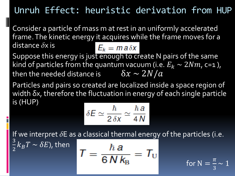# Unruh Effect: heuristic derivation from HUP

Consider a particle of mass m at rest in an uniformly accelerated frame. The kinetic energy it acquires while the frame moves for a distance  $\delta$ x is  $E_k = ma \delta x$ 

Suppose this energy is just enough to create N pairs of the same kind of particles from the quantum vacuum (i.e.  $E_k \sim 2Nm$ , c=1), then the needed distance is  $\delta x \sim 2N/a$ 

Particles and pairs so created are localized inside a space region of width δx, therefore the fluctuation in energy of each single particle is (HUP)

$$
\delta E \simeq \frac{\hbar}{2 \,\delta x} \simeq \frac{\hbar \,a}{4\,N}
$$

If we interpret  $\delta E$  as a classical thermal energy of the particles (i.e. 3

$$
T=\frac{\hbar\,a}{6\,N\,k_{\rm B}}=T_{\rm U}
$$

 $\frac{3}{2}k_BT \sim \delta E$ ), then

 $= \frac{\pi}{3}$  for N  $= \frac{\pi}{3}$ 3  $\sim$  1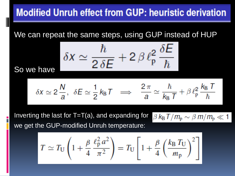# **Modified Unruh effect from GUP: heuristic derivation**

We can repeat the same steps, using GUP instead of HUP

 $\delta x \simeq \frac{\hbar}{2 \delta E} + 2 \beta \ell_{\rm p}^2 \frac{\delta E}{\hbar}$ 

So we have

$$
\delta X \simeq 2 \, \frac{N}{a}, \ \ \delta E \simeq \frac{1}{2} \, k_B \, \mathcal{T} \quad \Longrightarrow \quad \frac{2 \, \pi}{a} \simeq \frac{\hbar}{k_B \, \mathcal{T}} + \beta \, \ell_p^2 \, \frac{k_B \, \mathcal{T}}{\hbar}
$$

 $\beta k_{\rm B} T/m_{\rm p} \sim \beta m/m_{\rm p} \ll 1$ 

Inverting the last for  $T=T(a)$ , and expanding for we get the GUP-modified Unruh temperature:

$$
T \simeq T_{\rm U} \left( 1 + \frac{\beta}{4} \frac{\ell_{\rm p}^2 a^2}{\pi^2} \right) = T_{\rm U} \left[ 1 + \frac{\beta}{4} \left( \frac{k_{\rm B} T_{\rm U}}{m_{\rm p}} \right)^2 \right]
$$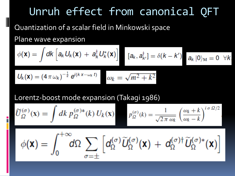# Unruh effect from canonical QFT

Quantization of a scalar field in Minkowski space Plane wave expansion

$$
\phi(\mathbf{x}) = \int dk \left[ a_k U_k(\mathbf{x}) + a_k^{\dagger} U_k^*(\mathbf{x}) \right] \quad [a_k, a_{k'}^{\dagger}] = \delta(k - k') \quad a_k |0\rangle_M = 0 \quad \forall k
$$
\n
$$
U_k(\mathbf{x}) - (4 \pi \omega_k)^{-\frac{1}{2}} e^{i(kx - \omega_k t)} \quad \text{and} \quad \omega_k = \sqrt{m^2 + k^2}
$$

Lorentz-boost mode expansion (Takagi 1986)

$$
\widetilde{U}_{\Omega}^{(\sigma)}(\mathbf{x}) = \int dk \, p_{\Omega}^{(\sigma)*}(k) \, U_k(\mathbf{x}) \qquad p_{\Omega}^{(\sigma)}(k) = \frac{1}{\sqrt{2\pi \, \omega_k}} \left(\frac{\omega_k + k}{\omega_k - k}\right)^{i\sigma \, \Omega/2}
$$

$$
\phi(\mathbf{x}) = \int_0^{+\infty} d\Omega \sum_{\sigma=\pm} \left[ d_{\Omega}^{(\sigma)} \widetilde{U}_{\Omega}^{(\sigma)}(\mathbf{x}) + d_{\Omega}^{(\sigma)\dagger} \widetilde{U}_{\Omega}^{(\sigma)*}(\mathbf{x}) \right]
$$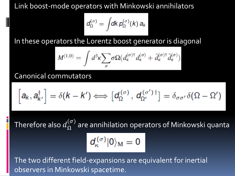Link boost-mode operators with Minkowski annihilators

$$
d_{\Omega}^{(\sigma)} = \int dk\,p_{\Omega}^{(\sigma)}(k)\,a_k
$$

In these operators the Lorentz boost generator is diagonal

$$
M^{(1,0)} = \int d^3k \sum_{\sigma} \sigma \Omega(d_{\kappa}^{(\sigma)\dagger} d_{\kappa}^{(\sigma)} + \bar{d}_{\kappa}^{(\sigma)\dagger} \bar{d}_{\kappa}^{(\sigma)})
$$

#### Canonical commutators

$$
\left[a_k, a_{k'}^{\dagger}\right] = \delta(k - k') \Longleftrightarrow \left[d_{\Omega}^{(\sigma)}, d_{\Omega'}^{(\sigma')\dagger}\right] = \delta_{\sigma\sigma'}\delta(\Omega - \Omega')
$$

Therefore also  $d_{\Omega}^{(\sigma)}$ are annihilation operators of Minkowski quanta

$$
d_{\kappa}^{(\sigma)}|0\rangle_{\mathrm{M}}=0
$$

The two different field-expansions are equivalent for inertial observers in Minkowski spacetime.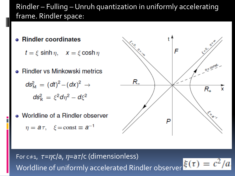#### Rindler – Fulling – Unruh quantization in uniformly accelerating frame. Rindler space:

- **Rindler coordinates** 
	- $t = \xi \sinh \eta$ ,  $x = \xi \cosh \eta$
- **Rindler vs Minkowski metrics**

$$
ds_M^2 = (dt)^2 - (dx)^2 \rightarrow ds_R^2 = \xi^2 d\eta^2 - d\xi^2
$$

• Worldline of a Rindler observer

$$
\eta = a\,\tau, \quad \xi = \text{const} \equiv a^{-1}
$$



For c $\neq$ 1,  $\tau = \eta c/a$ ,  $\eta = a\tau/c$  (dimensionless)  $\xi(\tau) = c^2/a$ Worldline of uniformly accelerated Rindler observer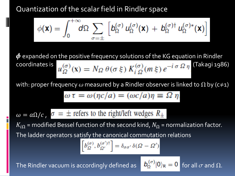#### Quantization of the scalar field in Rindler space

$$
\phi(\mathbf{x}) = \int_0^{+\infty} d\Omega \sum_{\sigma=\pm} \left[ b_{\Omega}^{(\sigma)} u_{\Omega}^{(\sigma)}(\mathbf{x}) + b_{\Omega}^{(\sigma)\dagger} u_{\Omega}^{(\sigma)*}(\mathbf{x}) \right]
$$

 $\boldsymbol{\phi}$  expanded on the positive frequency solutions of the KG equation in Rindler coordinates is  $u_{\Omega}^{(\sigma)}(x) = N_{\Omega} \theta(\sigma \xi) K_{i \Omega}^{(\sigma)}(m \xi) e^{-i \sigma \Omega \eta}$  (Takagi 1986)

with: proper frequency  $\omega$  measured by a Rindler observer is linked to  $\overline{\Omega}$  by (c $\neq$ 1)

$$
\omega \tau = \omega(\eta c/a) = (\omega c/a)\eta \equiv \Omega \eta
$$

 $\omega = a\Omega/c$ ,  $\sigma = \pm$  refers to the right/left wedges  $R_{\pm}$ 

 $K_{i\Omega}$  = modified Bessel function of the second kind,  $N_{\Omega}$  = normalization factor. The ladder operators satisfy the canonical commutation relations

$$
\[b_{\Omega}^{(\sigma)}, b_{\Omega'}^{(\sigma')\dagger}\] = \delta_{\sigma\sigma'}\,\delta(\Omega - \Omega')
$$

The Rindler vacuum is accordingly defined as  $\blacksquare$ 

$$
D_{\Omega}^{(\sigma)}|0\rangle_{R} = 0
$$
 for all  $\sigma$  and  $\Omega$ .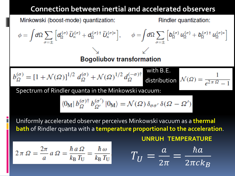#### **Connection between inertial and accelerated observers**

Minkowski (boost-mode) quantization:  
\n
$$
\phi = \int d\Omega \sum_{\sigma=\pm} \left[ d_{\Omega}^{(\sigma)} \tilde{U}_{k}^{(\sigma)} + d_{\Omega}^{(\sigma) \dagger} \tilde{U}_{k}^{(\sigma) \dagger} \right], \qquad \phi = \int d\Omega \sum_{\sigma=\pm} \left[ b_{\Omega}^{(\sigma)} u_{\Omega}^{(\sigma)} + b_{\Omega}^{(\sigma) \dagger} u_{\Omega}^{(\sigma) \dagger} \right]
$$
\nBogoliubov transformation  
\n
$$
b_{\Omega}^{(\sigma)} = \left[ 1 + \mathcal{N}(\Omega) \right]^{1/2} d_{\Omega}^{(\sigma)} + \mathcal{N}(\Omega)^{1/2} d_{\Omega}^{(-\sigma) \dagger}
$$
with B.E.  
\ndistribution  $\mathcal{N}(\Omega) = \frac{1}{e^{2\pi \Omega} - 1}$   
\nSpectrum of Rindler quanta in the Minkowski vacuum:  
\n
$$
\langle 0_M | b_{\Omega}^{(\sigma) \dagger} b_{\Omega'}^{(\sigma')} | 0_M \rangle = \mathcal{N}(\Omega) \delta_{\sigma \sigma'} \delta(\Omega - \Omega')
$$
\nUniformly accelerated observer perceives Minkowski vacuum as a thermal  
\n
$$
bath of Rindler quanta with a temperature proportional to the acceleration.\nUNRUH TEMPERATURE\n
$$
2\pi \Omega = \frac{2\pi}{a} a \Omega = \frac{\hbar a \Omega}{k_B T_U} = \frac{\hbar \omega}{k_B T_U}
$$
\n
$$
T_U = \frac{a}{2\pi} = \frac{\hbar a}{2\pi c k_B}
$$
$$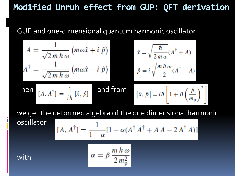## **Modified Unruh effect from GUP: QFT derivation**

GUP and one-dimensional quantum harmonic oscillator

$$
A = \frac{1}{\sqrt{2m\hbar\omega}} (m\omega\hat{x} + i\hat{p}) \qquad \hat{x} = \sqrt{\frac{\hbar}{2m\omega}} (A^{\dagger} + A)
$$
  

$$
A^{\dagger} = \frac{1}{\sqrt{2m\hbar\omega}} (m\omega\hat{x} - i\hat{p}) \qquad \hat{p} = i\sqrt{\frac{m\hbar\omega}{2}} (A^{\dagger} - A)
$$
  
Then  

$$
[A, A^{\dagger}] = \frac{1}{i\hbar} [\hat{x}, \hat{p}] \qquad \text{and from} \qquad [\hat{x}, \hat{p}] = i\hbar \left[1 + \beta \left(\frac{\hat{p}}{m_p}\right)^2\right]
$$

we get the deformed algebra of the one dimensional harmonic oscillator

$$
[A, A^{\dagger}] = \frac{1}{1 - \alpha} [1 - \alpha (A^{\dagger} A^{\dagger} + A A - 2 A^{\dagger} A)]
$$

with

$$
\alpha = \beta \, \frac{m \, \hbar \, \omega}{2 \, m_{\rm p}^2}
$$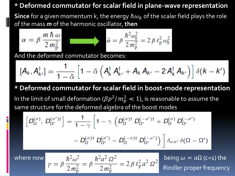#### **\* Deformed commutator for scalar field in plane-wave representation**

**Since** for a given momentum k, the energy  $\hbar \omega_k$  of the scalar field plays the role of the mass *m* of the harmonic oscillator, **then**

$$
\alpha = \beta \frac{m \hbar \omega}{2 m_{\rm p}^2} \qquad \qquad \hat{\alpha} = \beta \frac{\hbar^2 \omega_k^2}{2 m_{\rm p}^2} = 2 \beta \ell_{\rm p}^2 \omega_k^2
$$

And the deformed commutator becomes:

$$
[\mathbf{A}_k, \mathbf{A}_{k'}^\dagger] = \frac{1}{1-\tilde{\alpha}} \left[ 1 - \tilde{\alpha} \left( \mathbf{A}_k^\dagger \mathbf{A}_{k'}^\dagger + \mathbf{A}_k \mathbf{A}_{k'} - 2 \mathbf{A}_k^\dagger \mathbf{A}_{k'} \right) \right] \delta(\mathbf{k} - \mathbf{k'})
$$

**\* Deformed commutator for scalar field in boost-mode representation** In the limit of small deformation ( $\beta p^2/\,m_p^2\ll 1$ ), is reasonable to assume the same structure for the deformed algebra of the boost modes

$$
\[D_{\Omega}^{(\sigma)},\,D_{\Omega'}^{(\sigma')\dagger}\] = \frac{1}{1-\gamma}\left[1-\gamma\,\left(D_{\Omega}^{(\sigma)\dagger}\,D_{\Omega'}^{(-\sigma')\dagger} + D_{\Omega}^{(\sigma)}\,D_{\Omega'}^{(-\sigma')}\right.\right. \\ \left. - D_{\Omega}^{(\sigma)\dagger}\,D_{\Omega'}^{(\sigma')}\, - D_{\Omega}^{(-\sigma)\dagger}\,D_{\Omega'}^{(-\sigma')}\right)\right]\delta_{\sigma\sigma'}\,\delta(\Omega-\Omega')
$$

where now  $\gamma = \beta \frac{\hbar^2 \omega^2}{2 m_*^2} = \beta \frac{\hbar^2 a^2 \Omega^2}{2 m_*^2} = 2 \beta \ell_p^2 a^2 \Omega^2$  being  $\omega = a \Omega$  (c=1) the Rindler proper frequency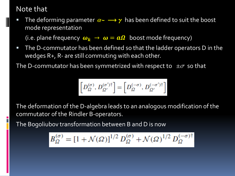#### Note that

The deforming parameter  $\alpha \sim \rightarrow \gamma$  has been defined to suit the boost mode representation

(i.e. plane frequency  $\omega_k \to \omega = a\Omega$  boost mode frequency)

**The D-commutator has been defined so that the ladder operators D in the** wedges R+, R- are still commuting with each other.

The D-commutator has been symmetrized with respect to  $\pm\sigma$  so that

$$
\left[D_{\varOmega}^{(\sigma)},\,D_{\varOmega'}^{(\sigma')\dagger}\right]=\left[D_{\varOmega}^{(-\sigma)},\,D_{\varOmega'}^{(-\sigma')\dagger}\right]
$$

The deformation of the D-algebra leads to an analogous modification of the commutator of the Rindler B-operators.

The Bogoliubov transformation between B and D is now

$$
B_{\Omega}^{(\sigma)} = [1 + \mathcal{N}(\Omega)]^{1/2} D_{\Omega}^{(\sigma)} + \mathcal{N}(\Omega)^{1/2} D_{\Omega}^{(-\sigma)}\
$$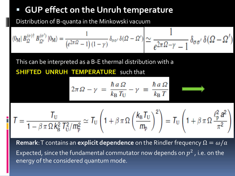# **GUP effect on the Unruh temperature**

Distribution of B-quanta in the Minkowski vacuum

$$
\langle 0_{\mathrm{M}} | B_{\Omega}^{(\sigma) \dagger} B_{\Omega'}^{(\sigma')} | 0_{\mathrm{M}} \rangle = \frac{1}{(e^{2\pi \Omega} - 1) (1 - \gamma)} \delta_{\sigma \sigma'} \delta(\Omega - \Omega') \simeq \frac{1}{e^{2\pi \Omega - \gamma} - 1} \delta_{\sigma \sigma'} \delta(\Omega - \Omega')
$$

This can be interpreted as a B-E thermal distribution with a

**SHIFTED UNRUH TEMPERATURE** such that

$$
2\pi\,\Omega - \gamma = \frac{\hbar\,a\,\Omega}{k_{\rm B}\,T_{\rm U}} - \gamma = \frac{\hbar\,a\,\Omega}{k_{\rm B}\,T}
$$

$$
T = \frac{T_{\text{U}}}{1 - \beta \pi \Omega k_{\text{B}}^2 T_{\text{U}}^2 / m_{\text{p}}^2} \simeq T_{\text{U}} \left( 1 + \beta \pi \Omega \left( \frac{k_{\text{B}} T_{\text{U}}}{m_{\text{p}}} \right)^2 \right) = T_{\text{U}} \left( 1 + \beta \pi \Omega \frac{\ell_{\text{p}}^2 a^2}{\pi^2} \right)
$$

**Remark**: T contains an **explicit dependence** on the Rindler frequency  $\Omega = \omega/a$ Expected, since the fundamental commutator now depends on  $p^2$  , i.e. on the energy of the considered quantum mode.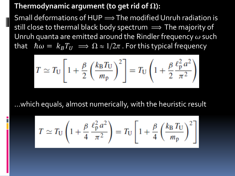#### Thermodynamic argument (to get rid of  $\Omega$ ):

Small deformations of HUP  $\Longrightarrow$  The modified Unruh radiation is still close to thermal black body spectrum  $\implies$  The majority of Unruh quanta are emitted around the Rindler frequency  $\omega$  such that  $\hbar \omega = \overline{k}_B T_U \implies \Omega \approx 1/2\pi$ . For this typical frequency

$$
T \simeq T_{\rm U} \left[ 1 + \frac{\beta}{2} \left( \frac{k_{\rm B} T_{\rm U}}{m_{\rm p}} \right)^2 \right] = T_{\rm U} \left( 1 + \frac{\beta}{2} \frac{\ell_{\rm p}^2 a^2}{\pi^2} \right)
$$

…which equals, almost numerically, with the heuristic result

$$
T \simeq T_{\rm U} \left( 1 + \frac{\beta}{4} \frac{\ell_{\rm p}^2 a^2}{\pi^2} \right) = T_{\rm U} \left[ 1 + \frac{\beta}{4} \left( \frac{k_{\rm B} T_{\rm U}}{m_{\rm p}} \right)^2 \right]
$$